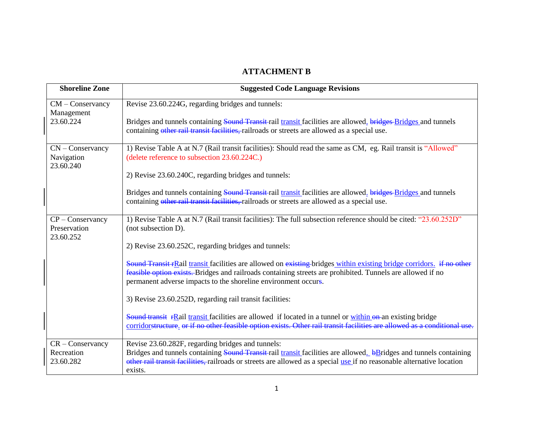## **ATTACHMENT B**

| <b>Shoreline Zone</b>                           | <b>Suggested Code Language Revisions</b>                                                                                                                                                                                                                                                             |
|-------------------------------------------------|------------------------------------------------------------------------------------------------------------------------------------------------------------------------------------------------------------------------------------------------------------------------------------------------------|
| $CM$ – Conservancy                              | Revise 23.60.224G, regarding bridges and tunnels:                                                                                                                                                                                                                                                    |
| Management<br>23.60.224                         | Bridges and tunnels containing Sound Transit rail transit facilities are allowed. bridges-Bridges and tunnels<br>containing other rail transit facilities, railroads or streets are allowed as a special use.                                                                                        |
| $CN$ – Conservancy<br>Navigation<br>23.60.240   | 1) Revise Table A at N.7 (Rail transit facilities): Should read the same as CM, eg. Rail transit is "Allowed"<br>(delete reference to subsection 23.60.224C.)                                                                                                                                        |
|                                                 | 2) Revise 23.60.240C, regarding bridges and tunnels:                                                                                                                                                                                                                                                 |
|                                                 | Bridges and tunnels containing Sound Transit rail transit facilities are allowed. bridges-Bridges and tunnels<br>containing other rail transit facilities, railroads or streets are allowed as a special use.                                                                                        |
| $CP$ – Conservancy<br>Preservation<br>23.60.252 | 1) Revise Table A at N.7 (Rail transit facilities): The full subsection reference should be cited: "23.60.252D"<br>(not subsection D).                                                                                                                                                               |
|                                                 | 2) Revise 23.60.252C, regarding bridges and tunnels:                                                                                                                                                                                                                                                 |
|                                                 | Sound Transit FRail transit facilities are allowed on existing bridges within existing bridge corridors. if no other<br>feasible option exists. Bridges and railroads containing streets are prohibited. Tunnels are allowed if no<br>permanent adverse impacts to the shoreline environment occurs. |
|                                                 | 3) Revise 23.60.252D, regarding rail transit facilities:                                                                                                                                                                                                                                             |
|                                                 | Sound transit rRail transit facilities are allowed if located in a tunnel or within on an existing bridge<br>corridorstructure, or if no other feasible option exists. Other rail transit facilities are allowed as a conditional use.                                                               |
| $CR$ – Conservancy                              | Revise 23.60.282F, regarding bridges and tunnels:                                                                                                                                                                                                                                                    |
| Recreation<br>23.60.282                         | Bridges and tunnels containing Sound Transit rail transit facilities are allowed. bBridges and tunnels containing<br>other rail transit facilities, railroads or streets are allowed as a special use if no reasonable alternative location<br>exists.                                               |